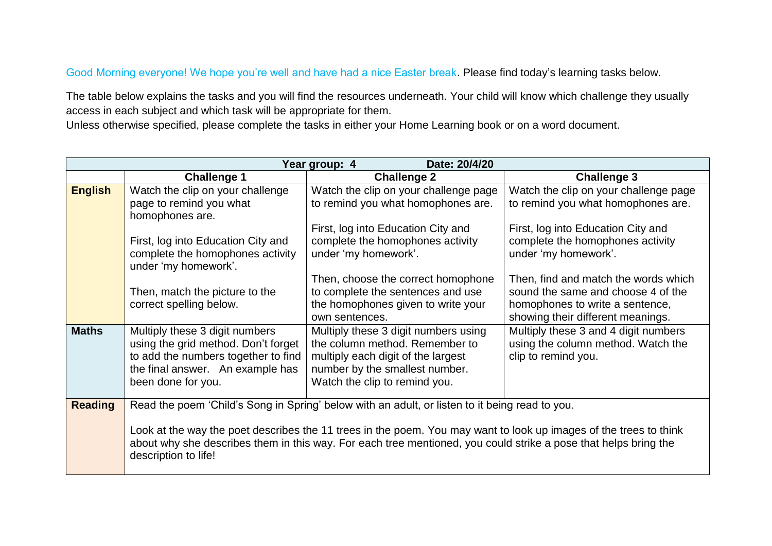#### Good Morning everyone! We hope you're well and have had a nice Easter break. Please find today's learning tasks below.

The table below explains the tasks and you will find the resources underneath. Your child will know which challenge they usually access in each subject and which task will be appropriate for them.

Unless otherwise specified, please complete the tasks in either your Home Learning book or on a word document.

|                |                                                          | Date: 20/4/20<br>Year group: 4                                                                                    |                                       |
|----------------|----------------------------------------------------------|-------------------------------------------------------------------------------------------------------------------|---------------------------------------|
|                | <b>Challenge 1</b>                                       | <b>Challenge 2</b>                                                                                                | <b>Challenge 3</b>                    |
| <b>English</b> | Watch the clip on your challenge                         | Watch the clip on your challenge page                                                                             | Watch the clip on your challenge page |
|                | page to remind you what                                  | to remind you what homophones are.                                                                                | to remind you what homophones are.    |
|                | homophones are.                                          |                                                                                                                   |                                       |
|                |                                                          | First, log into Education City and                                                                                | First, log into Education City and    |
|                | First, log into Education City and                       | complete the homophones activity                                                                                  | complete the homophones activity      |
|                | complete the homophones activity<br>under 'my homework'. | under 'my homework'.                                                                                              | under 'my homework'.                  |
|                |                                                          | Then, choose the correct homophone                                                                                | Then, find and match the words which  |
|                | Then, match the picture to the                           | to complete the sentences and use                                                                                 | sound the same and choose 4 of the    |
|                | correct spelling below.                                  | the homophones given to write your                                                                                | homophones to write a sentence,       |
|                |                                                          | own sentences.                                                                                                    | showing their different meanings.     |
| <b>Maths</b>   | Multiply these 3 digit numbers                           | Multiply these 3 digit numbers using                                                                              | Multiply these 3 and 4 digit numbers  |
|                | using the grid method. Don't forget                      | the column method. Remember to                                                                                    | using the column method. Watch the    |
|                | to add the numbers together to find                      | multiply each digit of the largest                                                                                | clip to remind you.                   |
|                | the final answer. An example has                         | number by the smallest number.                                                                                    |                                       |
|                | been done for you.                                       | Watch the clip to remind you.                                                                                     |                                       |
|                |                                                          |                                                                                                                   |                                       |
| <b>Reading</b> |                                                          | Read the poem 'Child's Song in Spring' below with an adult, or listen to it being read to you.                    |                                       |
|                |                                                          | Look at the way the poet describes the 11 trees in the poem. You may want to look up images of the trees to think |                                       |
|                |                                                          | about why she describes them in this way. For each tree mentioned, you could strike a pose that helps bring the   |                                       |
|                | description to life!                                     |                                                                                                                   |                                       |
|                |                                                          |                                                                                                                   |                                       |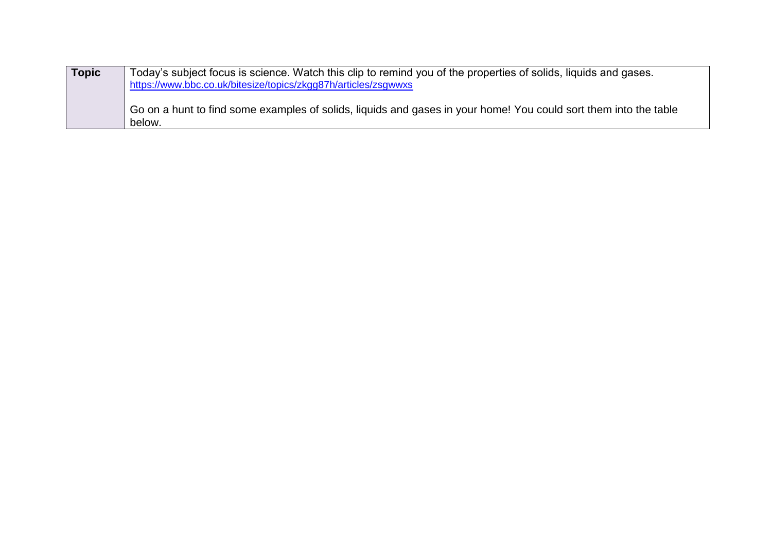| Topic | Today's subject focus is science. Watch this clip to remind you of the properties of solids, liquids and gases.<br>https://www.bbc.co.uk/bitesize/topics/zkgg87h/articles/zsgwwxs |  |
|-------|-----------------------------------------------------------------------------------------------------------------------------------------------------------------------------------|--|
|       | Go on a hunt to find some examples of solids, liquids and gases in your home! You could sort them into the table<br>below.                                                        |  |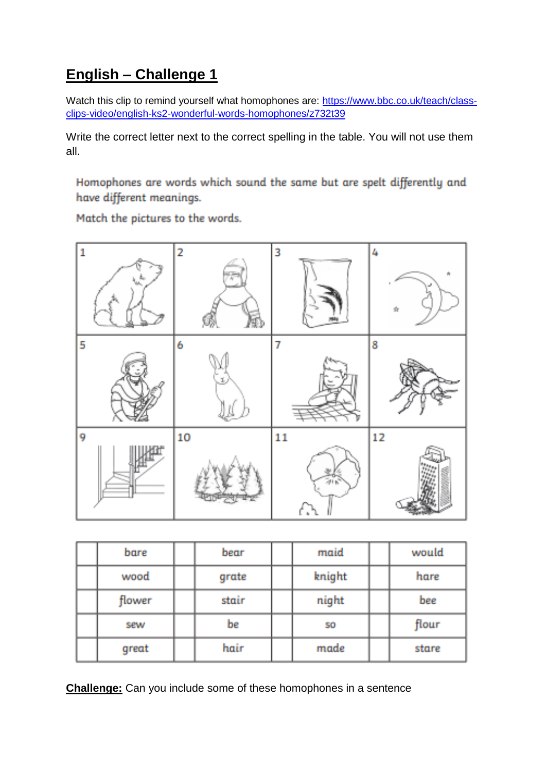## **English – Challenge 1**

Watch this clip to remind yourself what homophones are: [https://www.bbc.co.uk/teach/class](https://www.bbc.co.uk/teach/class-clips-video/english-ks2-wonderful-words-homophones/z732t39)[clips-video/english-ks2-wonderful-words-homophones/z732t39](https://www.bbc.co.uk/teach/class-clips-video/english-ks2-wonderful-words-homophones/z732t39)

Write the correct letter next to the correct spelling in the table. You will not use them all.

Homophones are words which sound the same but are spelt differently and have different meanings.

Match the pictures to the words.



| bare   | bear  | maid      | would |
|--------|-------|-----------|-------|
| wood   | grate | knight    | hare  |
| flower | stair | night     | bee   |
| sew    | be    | <b>SO</b> | flour |
| great  | hair  | made      | stare |

**Challenge:** Can you include some of these homophones in a sentence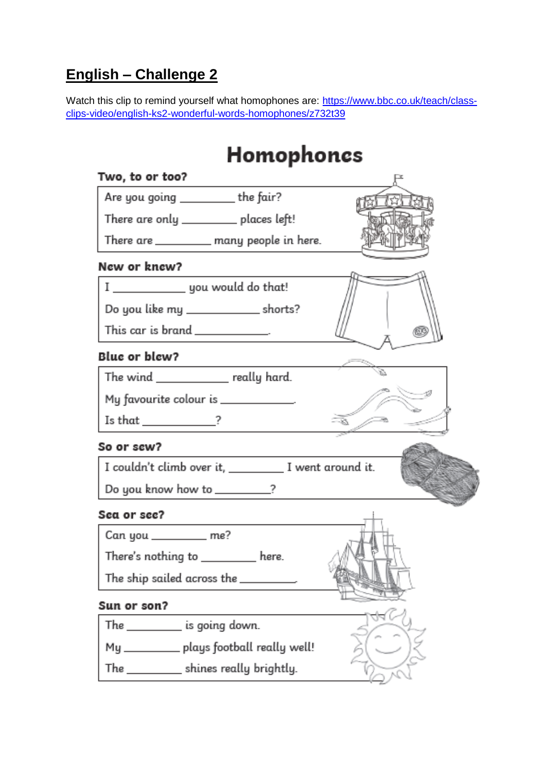## **English – Challenge 2**

Watch this clip to remind yourself what homophones are: [https://www.bbc.co.uk/teach/class](https://www.bbc.co.uk/teach/class-clips-video/english-ks2-wonderful-words-homophones/z732t39)[clips-video/english-ks2-wonderful-words-homophones/z732t39](https://www.bbc.co.uk/teach/class-clips-video/english-ks2-wonderful-words-homophones/z732t39)

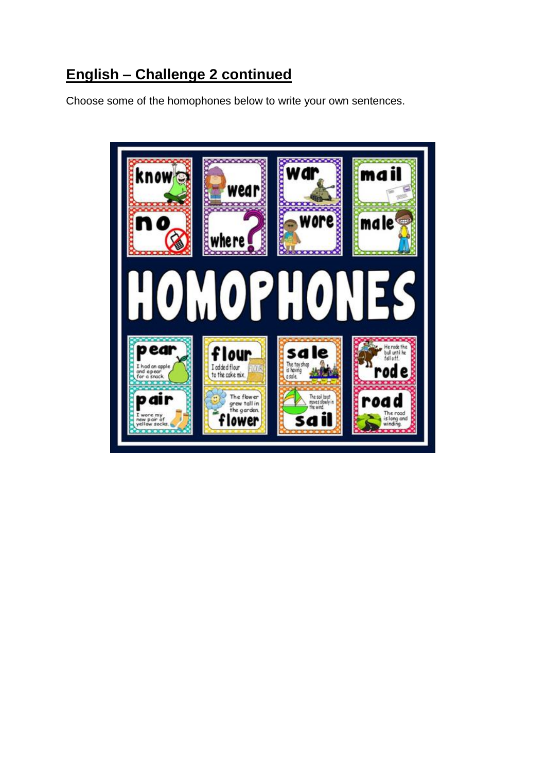## **English – Challenge 2 continued**

Choose some of the homophones below to write your own sentences.

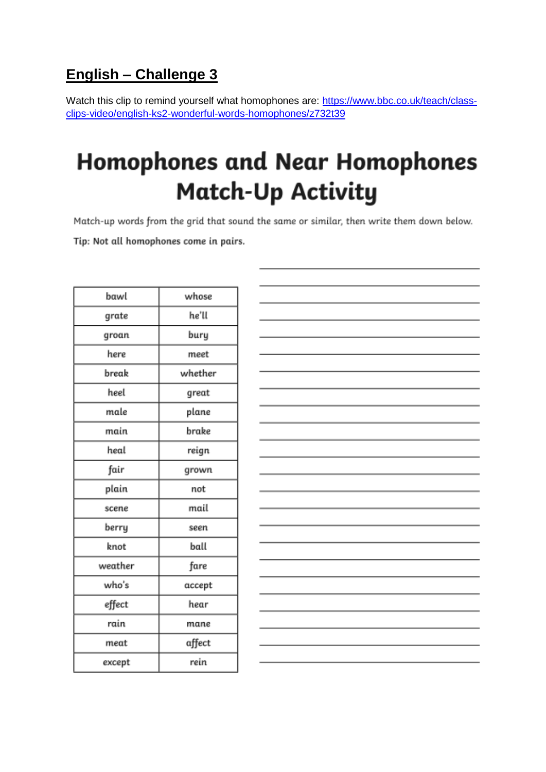## **English – Challenge 3**

Watch this clip to remind yourself what homophones are: [https://www.bbc.co.uk/teach/class](https://www.bbc.co.uk/teach/class-clips-video/english-ks2-wonderful-words-homophones/z732t39)[clips-video/english-ks2-wonderful-words-homophones/z732t39](https://www.bbc.co.uk/teach/class-clips-video/english-ks2-wonderful-words-homophones/z732t39)

## **Homophones and Near Homophones Match-Up Activity**

Match-up words from the grid that sound the same or similar, then write them down below. Tip: Not all homophones come in pairs.

| bawl    | whose   |
|---------|---------|
| grate   | he'll   |
| groan   | bury    |
| here    | meet    |
| break   | whether |
| heel    | great   |
| male    | plane   |
| main    | brake   |
| heal    | reign   |
| fair    | grown   |
| plain   | not     |
| scene   | mail    |
| berry   | seen    |
| knot    | ball    |
| weather | fare    |
| who's   | accept  |
| effect  | hear    |
| rain    | mane    |
| meat    | affect  |
| except  | rein    |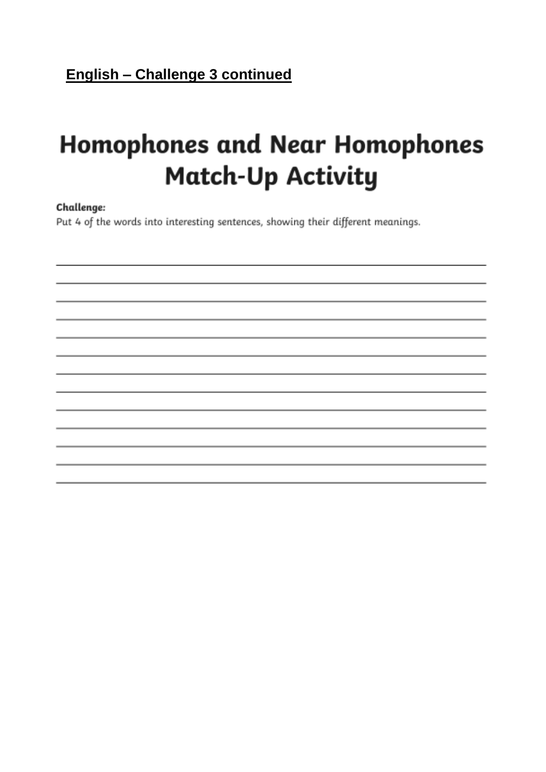## **English - Challenge 3 continued**

# **Homophones and Near Homophones Match-Up Activity**

#### Challenge:

Put 4 of the words into interesting sentences, showing their different meanings.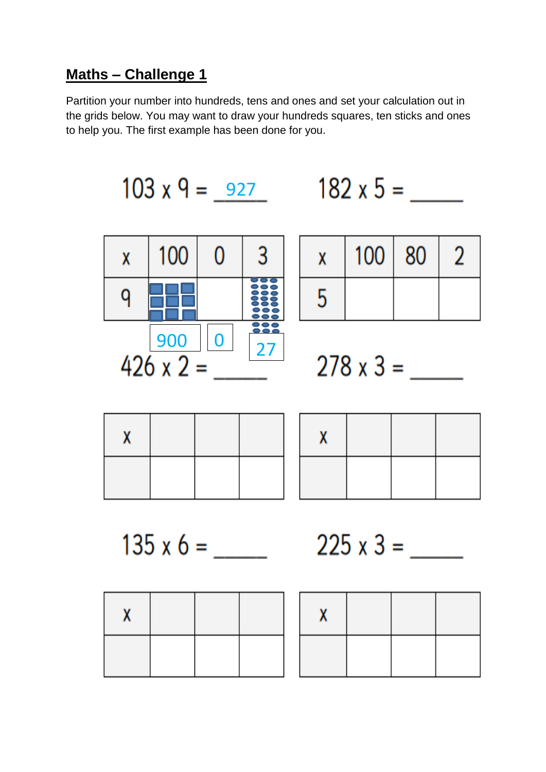## Maths - Challenge 1

Partition your number into hundreds, tens and ones and set your calculation out in the grids below. You may want to draw your hundreds squares, ten sticks and ones to help you. The first example has been done for you.

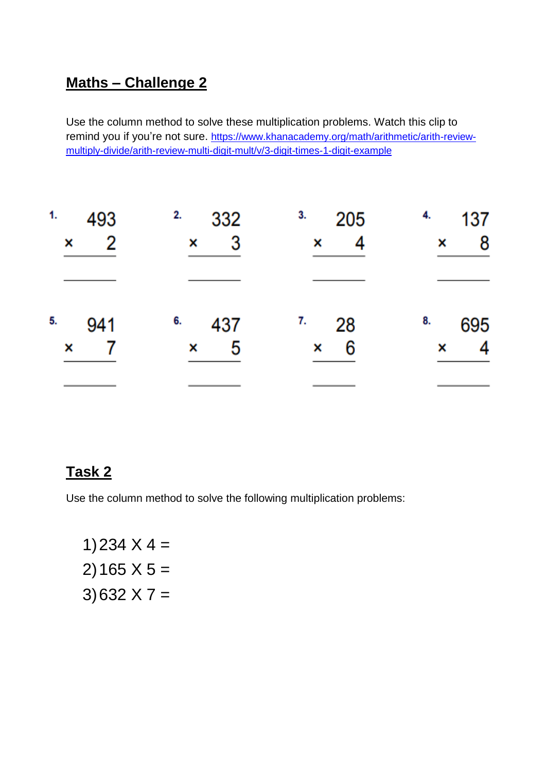## **Maths – Challenge 2**

Use the column method to solve these multiplication problems. Watch this clip to remind you if you're not sure. [https://www.khanacademy.org/math/arithmetic/arith-review](https://www.khanacademy.org/math/arithmetic/arith-review-multiply-divide/arith-review-multi-digit-mult/v/3-digit-times-1-digit-example)[multiply-divide/arith-review-multi-digit-mult/v/3-digit-times-1-digit-example](https://www.khanacademy.org/math/arithmetic/arith-review-multiply-divide/arith-review-multi-digit-mult/v/3-digit-times-1-digit-example)

| 1.  | 2.     | 3.     | 4.  |
|-----|--------|--------|-----|
| 493 | 332    | 205    | 137 |
| 2   | 3      | ×      | 8   |
| ×   | ×      |        | ×   |
|     |        |        |     |
| 5.  | 6.     | 28     | 8.  |
| 941 | 437    | 7.     | 695 |
| ×   | 5<br>× | 6<br>× | ×   |
|     |        |        |     |

## **Task 2**

Use the column method to solve the following multiplication problems:

1)234  $X$  4 = 2) 165  $X$  5 = 3) 632  $X$  7 =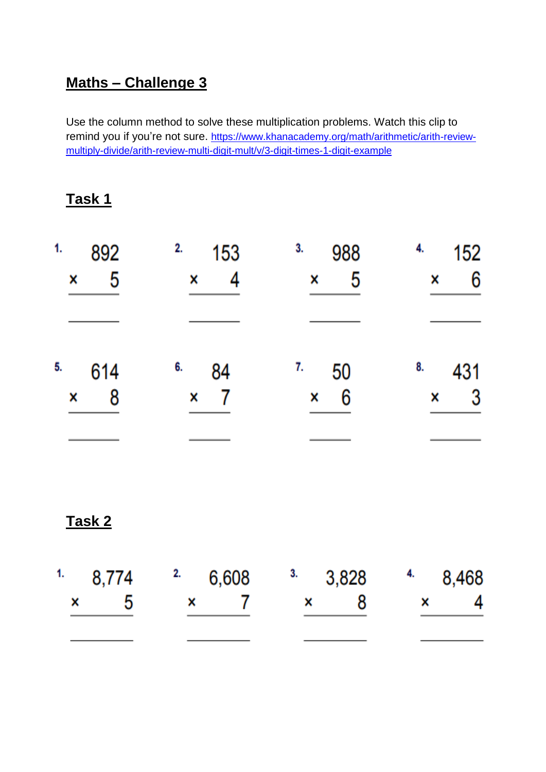## **Maths – Challenge 3**

Use the column method to solve these multiplication problems. Watch this clip to remind you if you're not sure. [https://www.khanacademy.org/math/arithmetic/arith-review](https://www.khanacademy.org/math/arithmetic/arith-review-multiply-divide/arith-review-multi-digit-mult/v/3-digit-times-1-digit-example)[multiply-divide/arith-review-multi-digit-mult/v/3-digit-times-1-digit-example](https://www.khanacademy.org/math/arithmetic/arith-review-multiply-divide/arith-review-multi-digit-mult/v/3-digit-times-1-digit-example)

| 1.<br>892<br>5<br>× | 2.<br>153<br>× | 3.<br>988<br>5<br>× | 4.<br>152<br>6<br>x |
|---------------------|----------------|---------------------|---------------------|
|                     |                |                     |                     |
| 5.<br>614           | 6.<br>84       | 7.<br>50            | 8.<br>431           |
| 8<br>X              | ×              | 6<br>×              | $\mathbf{3}$<br>×   |
|                     |                |                     |                     |

**Task 2**

| $1.$ 8,774 $2.$ 6,608 $3.$ 3,828 $4.$ 8,468 |              |              |              |  |
|---------------------------------------------|--------------|--------------|--------------|--|
| h                                           | $\mathbf{x}$ | $\mathbf{x}$ | $\mathsf{x}$ |  |
|                                             |              |              |              |  |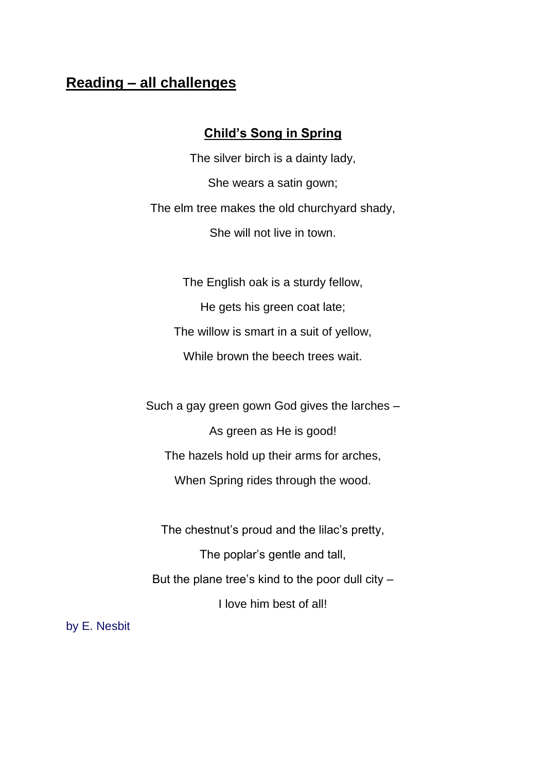### **Reading – all challenges**

#### **Child's Song in Spring**

The silver birch is a dainty lady, She wears a satin gown; The elm tree makes the old churchyard shady, She will not live in town.

The English oak is a sturdy fellow, He gets his green coat late; The willow is smart in a suit of yellow, While brown the beech trees wait.

Such a gay green gown God gives the larches – As green as He is good! The hazels hold up their arms for arches, When Spring rides through the wood.

The chestnut's proud and the lilac's pretty, The poplar's gentle and tall, But the plane tree's kind to the poor dull city – I love him best of all!

by E. Nesbit